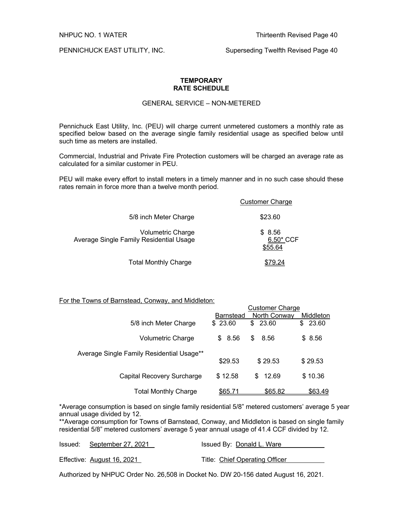PENNICHUCK EAST UTILITY, INC. Superseding Twelfth Revised Page 40

### **TEMPORARY RATE SCHEDULE**

# GENERAL SERVICE – NON-METERED

Pennichuck East Utility, Inc. (PEU) will charge current unmetered customers a monthly rate as specified below based on the average single family residential usage as specified below until such time as meters are installed.

Commercial, Industrial and Private Fire Protection customers will be charged an average rate as calculated for a similar customer in PEU.

PEU will make every effort to install meters in a timely manner and in no such case should these rates remain in force more than a twelve month period.

|                                                                     | <b>Customer Charge</b>         |
|---------------------------------------------------------------------|--------------------------------|
| 5/8 inch Meter Charge                                               | \$23.60                        |
| <b>Volumetric Charge</b><br>Average Single Family Residential Usage | \$8.56<br>6.50* CCF<br>\$55.64 |
| <b>Total Monthly Charge</b>                                         |                                |

#### For the Towns of Barnstead, Conway, and Middleton:

|                                           |                  | <b>Customer Charge</b> |             |
|-------------------------------------------|------------------|------------------------|-------------|
|                                           | <b>Barnstead</b> | North Conway           | Middleton   |
| 5/8 inch Meter Charge                     | \$23.60          | 23.60<br>\$            | 23.60<br>\$ |
| Volumetric Charge                         | \$8.56           | \$<br>8.56             | \$ 8.56     |
| Average Single Family Residential Usage** | \$29.53          | \$29.53                | \$29.53     |
| Capital Recovery Surcharge                | \$12.58          | \$12.69                | \$10.36     |
| Total Monthly Charge                      | <u>\$65.71</u>   | \$65.82                | \$63.49     |

\*Average consumption is based on single family residential 5/8" metered customers' average 5 year annual usage divided by 12.

\*\*Average consumption for Towns of Barnstead, Conway, and Middleton is based on single family residential 5/8" metered customers' average 5 year annual usage of 41.4 CCF divided by 12.

| Issued: September 27, 2021 | Issued By: Donald L. Ware      |
|----------------------------|--------------------------------|
| Effective: August 16, 2021 | Title: Chief Operating Officer |

Authorized by NHPUC Order No. 26,508 in Docket No. DW 20-156 dated August 16, 2021.